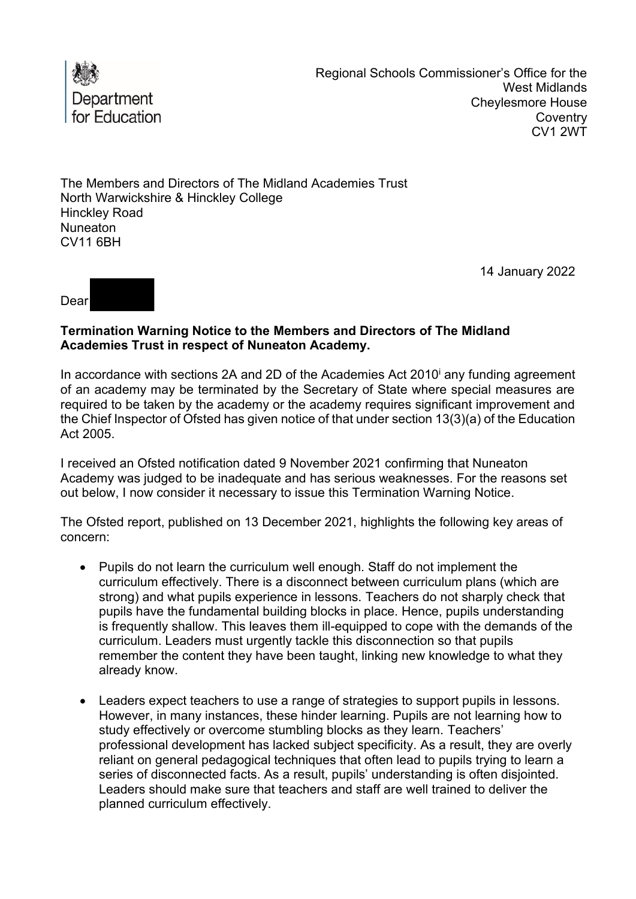

The Members and Directors of The Midland Academies Trust North Warwickshire & Hinckley College Hinckley Road Nuneaton CV11 6BH

14 January 2022



## **Termination Warning Notice to the Members and Directors of The Midland Academies Trust in respect of Nuneaton Academy.**

 of an academy may be terminated by the Secretary of State where special measures are required to be taken by the academy or the academy requires significant improvement and the Chief Inspector of Ofsted has given notice of that under section 13(3)(a) of the Education In accordance with sections 2A and 2D of the Academies Act 2010<sup>i</sup> any funding agreement Act 2005.

I received an Ofsted notification dated 9 November 2021 confirming that Nuneaton Academy was judged to be inadequate and has serious weaknesses. For the reasons set out below, I now consider it necessary to issue this Termination Warning Notice.

The Ofsted report, published on 13 December 2021, highlights the following key areas of concern:

- Pupils do not learn the curriculum well enough. Staff do not implement the curriculum effectively. There is a disconnect between curriculum plans (which are strong) and what pupils experience in lessons. Teachers do not sharply check that pupils have the fundamental building blocks in place. Hence, pupils understanding is frequently shallow. This leaves them ill-equipped to cope with the demands of the curriculum. Leaders must urgently tackle this disconnection so that pupils remember the content they have been taught, linking new knowledge to what they already know.
- series of disconnected facts. As a result, pupils' understanding is often disjointed. Leaders should make sure that teachers and staff are well trained to deliver the • Leaders expect teachers to use a range of strategies to support pupils in lessons. However, in many instances, these hinder learning. Pupils are not learning how to study effectively or overcome stumbling blocks as they learn. Teachers' professional development has lacked subject specificity. As a result, they are overly reliant on general pedagogical techniques that often lead to pupils trying to learn a planned curriculum effectively.